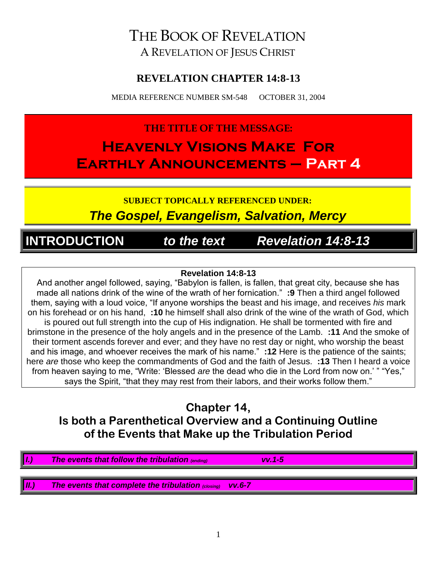# THE BOOK OF REVELATION A REVELATION OF JESUS CHRIST

### **REVELATION CHAPTER 14:8-13**

MEDIA REFERENCE NUMBER SM-548 OCTOBER 31, 2004

# **THE TITLE OF THE MESSAGE: Heavenly Visions Make For Earthly Announcements – Part 4**

**SUBJECT TOPICALLY REFERENCED UNDER:** *The Gospel, Evangelism, Salvation, Mercy*

**INTRODUCTION** *to the text Revelation 14:8-13*

#### **Revelation 14:8-13**

And another angel followed, saying, "Babylon is fallen, is fallen, that great city, because she has made all nations drink of the wine of the wrath of her fornication." **:9** Then a third angel followed them, saying with a loud voice, "If anyone worships the beast and his image, and receives *his* mark on his forehead or on his hand, **:10** he himself shall also drink of the wine of the wrath of God, which is poured out full strength into the cup of His indignation. He shall be tormented with fire and brimstone in the presence of the holy angels and in the presence of the Lamb. **:11** And the smoke of their torment ascends forever and ever; and they have no rest day or night, who worship the beast and his image, and whoever receives the mark of his name." **:12** Here is the patience of the saints; here *are* those who keep the commandments of God and the faith of Jesus. **:13** Then I heard a voice from heaven saying to me, "Write: 'Blessed *are* the dead who die in the Lord from now on.' " "Yes," says the Spirit, "that they may rest from their labors, and their works follow them."

### **Chapter 14, Is both a Parenthetical Overview and a Continuing Outline of the Events that Make up the Tribulation Period**

*I.) The events that follow the tribulation (ending) vv.1-5 II.) The events that complete the tribulation (closing) vv.6-7*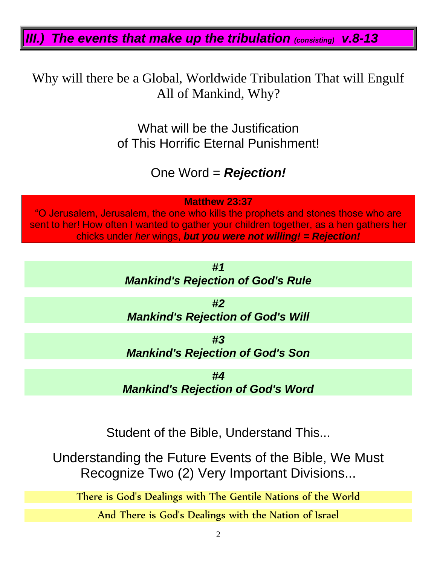*III.) The events that make up the tribulation (consisting) v.8-13*

Why will there be a Global, Worldwide Tribulation That will Engulf All of Mankind, Why?

> What will be the Justification of This Horrific Eternal Punishment!

> > One Word = *Rejection!*

**Matthew 23:37**

"O Jerusalem, Jerusalem, the one who kills the prophets and stones those who are sent to her! How often I wanted to gather your children together, as a hen gathers her chicks under *her* wings, *but you were not willing! = Rejection!*

> *#1 Mankind's Rejection of God's Rule*

*#2 Mankind's Rejection of God's Will*

*#3 Mankind's Rejection of God's Son*

*#4 Mankind's Rejection of God's Word*

Student of the Bible, Understand This...

Understanding the Future Events of the Bible, We Must Recognize Two (2) Very Important Divisions...

There is God's Dealings with The Gentile Nations of the World

And There is God's Dealings with the Nation of Israel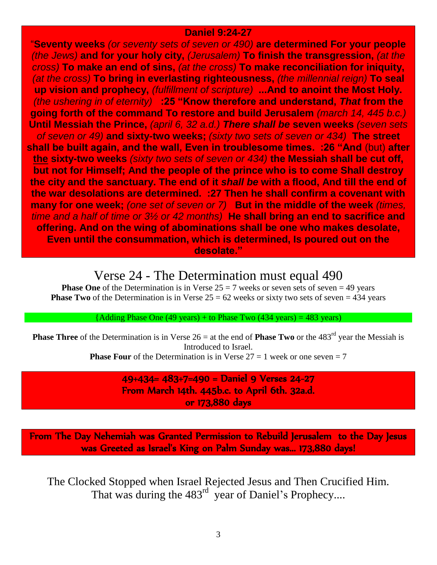#### **Daniel 9:24-27**

"**Seventy weeks** *(or seventy sets of seven or 490)* **are determined For your people**  *(the Jews)* **and for your holy city,** *(Jerusalem)* **To finish the transgression,** *(at the cross)* **To make an end of sins,** *(at the cross)* **To make reconciliation for iniquity,**  *(at the cross)* **To bring in everlasting righteousness,** *(the millennial reign)* **To seal up vision and prophecy,** *(fulfillment of scripture)* **...And to anoint the Most Holy.**  *(the ushering in of eternity)* **:25 "Know therefore and understand,** *That* **from the going forth of the command To restore and build Jerusalem** *(march 14, 445 b.c.)* **Until Messiah the Prince,** *(april 6, 32 a.d.) There shall be* **seven weeks** *(seven sets of seven or 49)* **and sixty-two weeks;** *(sixty two sets of seven or 434)* **The street shall be built again, and the wall, Even in troublesome times. :26 "And** (but) **after the sixty-two weeks** *(sixty two sets of seven or 434)* **the Messiah shall be cut off, but not for Himself; And the people of the prince who is to come Shall destroy the city and the sanctuary. The end of it** *shall be* **with a flood, And till the end of the war desolations are determined. :27 Then he shall confirm a covenant with many for one week;** *(one set of seven or 7)* **But in the middle of the week** *(times, time and a half of time or 3½ or 42 months)* **He shall bring an end to sacrifice and offering. And on the wing of abominations shall be one who makes desolate, Even until the consummation, which is determined, Is poured out on the desolate."**

### Verse 24 - The Determination must equal 490

**Phase One** of the Determination is in Verse  $25 = 7$  weeks or seven sets of seven = 49 years **Phase Two** of the Determination is in Verse  $25 = 62$  weeks or sixty two sets of seven = 434 years

 ${Adding Phase One (49 years) + to Phase Two (434 years) = 483 years)}$ 

**Phase Three** of the Determination is in Verse  $26 = at$  the end of **Phase Two** or the 483<sup>rd</sup> year the Messiah is Introduced to Israel.

**Phase Four** of the Determination is in Verse  $27 = 1$  week or one seven  $= 7$ 

49+434= 483+7=490 = Daniel 9 Verses 24-27 From March 14th. 445b.c. to April 6th. 32a.d. or 173,880 days

From The Day Nehemiah was Granted Permission to Rebuild Jerusalem to the Day Jesus was Greeted as Israel's King on Palm Sunday was... 173,880 days!

The Clocked Stopped when Israel Rejected Jesus and Then Crucified Him. That was during the 483<sup>rd</sup> year of Daniel's Prophecy....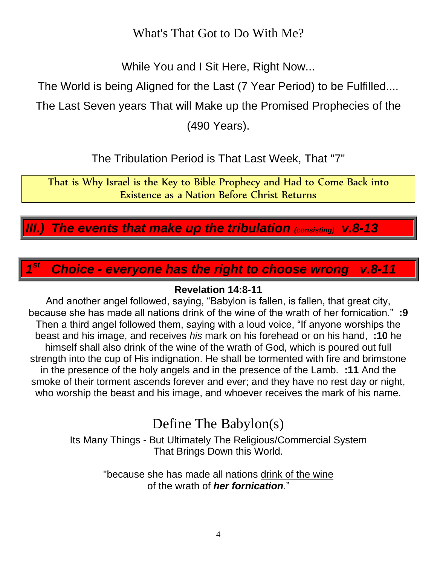What's That Got to Do With Me?

While You and I Sit Here, Right Now...

The World is being Aligned for the Last (7 Year Period) to be Fulfilled....

The Last Seven years That will Make up the Promised Prophecies of the

(490 Years).

The Tribulation Period is That Last Week, That "7"

That is Why Israel is the Key to Bible Prophecy and Had to Come Back into Existence as a Nation Before Christ Returns

*III.) The events that make up the tribulation (consisting) v.8-13*

*1* **Choice - everyone has the right to choose wrong v.8-11** 

### **Revelation 14:8-11**

And another angel followed, saying, "Babylon is fallen, is fallen, that great city, because she has made all nations drink of the wine of the wrath of her fornication." **:9** Then a third angel followed them, saying with a loud voice, "If anyone worships the beast and his image, and receives *his* mark on his forehead or on his hand, **:10** he himself shall also drink of the wine of the wrath of God, which is poured out full strength into the cup of His indignation. He shall be tormented with fire and brimstone in the presence of the holy angels and in the presence of the Lamb. **:11** And the smoke of their torment ascends forever and ever; and they have no rest day or night, who worship the beast and his image, and whoever receives the mark of his name.

# Define The Babylon(s)

Its Many Things - But Ultimately The Religious/Commercial System That Brings Down this World.

> "because she has made all nations drink of the wine of the wrath of *her fornication*."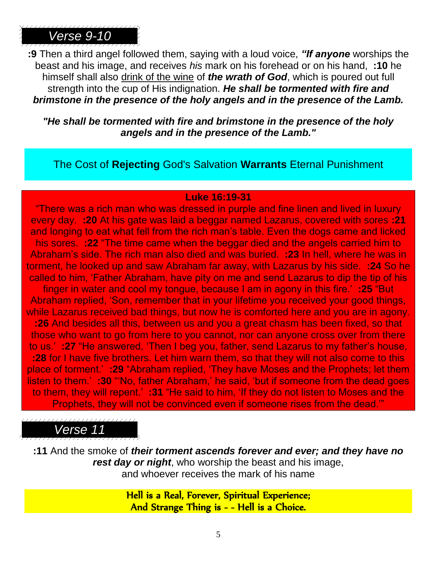**:9** Then a third angel followed them, saying with a loud voice, *"If anyone* worships the beast and his image, and receives *his* mark on his forehead or on his hand, **:10** he himself shall also drink of the wine of *the wrath of God*, which is poured out full strength into the cup of His indignation. *He shall be tormented with fire and brimstone in the presence of the holy angels and in the presence of the Lamb.*

*"He shall be tormented with fire and brimstone in the presence of the holy angels and in the presence of the Lamb."*

The Cost of **Rejecting** God's Salvation **Warrants** Eternal Punishment

#### **Luke 16:19-31**

"There was a rich man who was dressed in purple and fine linen and lived in luxury every day. **:20** At his gate was laid a beggar named Lazarus, covered with sores **:21** and longing to eat what fell from the rich man's table. Even the dogs came and licked his sores. **:22** "The time came when the beggar died and the angels carried him to Abraham's side. The rich man also died and was buried. **:23** In hell, where he was in torment, he looked up and saw Abraham far away, with Lazarus by his side. **:24** So he called to him, 'Father Abraham, have pity on me and send Lazarus to dip the tip of his finger in water and cool my tongue, because I am in agony in this fire.' **:25** "But Abraham replied, 'Son, remember that in your lifetime you received your good things, while Lazarus received bad things, but now he is comforted here and you are in agony. **:26** And besides all this, between us and you a great chasm has been fixed, so that those who want to go from here to you cannot, nor can anyone cross over from there to us.' **:27** "He answered, 'Then I beg you, father, send Lazarus to my father's house, **:28** for I have five brothers. Let him warn them, so that they will not also come to this place of torment.' **:29** "Abraham replied, 'They have Moses and the Prophets; let them listen to them.' **:30** "'No, father Abraham,' he said, 'but if someone from the dead goes to them, they will repent.' **:31** "He said to him, 'If they do not listen to Moses and the Prophets, they will not be convinced even if someone rises from the dead.'"

# *Verse 11*

**:11** And the smoke of *their torment ascends forever and ever; and they have no rest day or night*, who worship the beast and his image, and whoever receives the mark of his name

> Hell is a Real, Forever, Spiritual Experience; And Strange Thing is - - Hell is a Choice.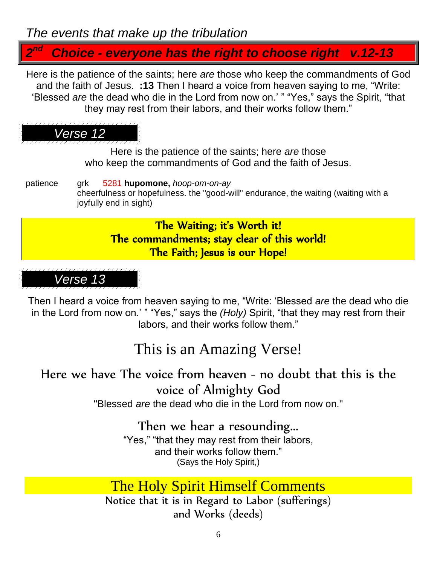# *The events that make up the tribulation*

#### *2 Choice - everyone has the right to choose right v.12-13*

Here is the patience of the saints; here *are* those who keep the commandments of God and the faith of Jesus. **:13** Then I heard a voice from heaven saying to me, "Write: 'Blessed *are* the dead who die in the Lord from now on.' " "Yes," says the Spirit, "that they may rest from their labors, and their works follow them."

# *Verse 12*

Here is the patience of the saints; here *are* those who keep the commandments of God and the faith of Jesus.

patience grk 5281 **hupomone,** *hoop-om-on-ay* cheerfulness or hopefulness. the "good-will" endurance, the waiting (waiting with a joyfully end in sight)

### The Waiting; it's Worth it! The commandments; stay clear of this world! The Faith; Jesus is our Hope!

*Verse 13*

Then I heard a voice from heaven saying to me, "Write: 'Blessed *are* the dead who die in the Lord from now on.' " "Yes," says the *(Holy)* Spirit, "that they may rest from their labors, and their works follow them."

# This is an Amazing Verse!

Here we have The voice from heaven - no doubt that this is the voice of Almighty God

"Blessed *are* the dead who die in the Lord from now on."

# Then we hear a resounding...

"Yes," "that they may rest from their labors, and their works follow them." (Says the Holy Spirit,)

# The Holy Spirit Himself Comments

Notice that it is in Regard to Labor (sufferings) and Works (deeds)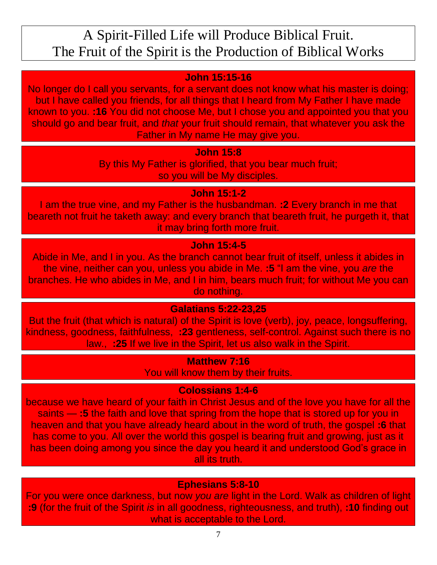# A Spirit-Filled Life will Produce Biblical Fruit. The Fruit of the Spirit is the Production of Biblical Works

### **John 15:15-16**

No longer do I call you servants, for a servant does not know what his master is doing; but I have called you friends, for all things that I heard from My Father I have made known to you. **:16** You did not choose Me, but I chose you and appointed you that you should go and bear fruit, and *that* your fruit should remain, that whatever you ask the Father in My name He may give you.

#### **John 15:8**

By this My Father is glorified, that you bear much fruit; so you will be My disciples.

### **John 15:1-2**

I am the true vine, and my Father is the husbandman. **:2** Every branch in me that beareth not fruit he taketh away: and every branch that beareth fruit, he purgeth it, that it may bring forth more fruit.

### **John 15:4-5**

Abide in Me, and I in you. As the branch cannot bear fruit of itself, unless it abides in the vine, neither can you, unless you abide in Me. **:5** "I am the vine, you *are* the branches. He who abides in Me, and I in him, bears much fruit; for without Me you can do nothing.

### **Galatians 5:22-23,25**

But the fruit (that which is natural) of the Spirit is love (verb), joy, peace, longsuffering, kindness, goodness, faithfulness, **:23** gentleness, self-control. Against such there is no law., **:25** If we live in the Spirit, let us also walk in the Spirit.

### **Matthew 7:16**

You will know them by their fruits.

### **Colossians 1:4-6**

because we have heard of your faith in Christ Jesus and of the love you have for all the saints — **:5** the faith and love that spring from the hope that is stored up for you in heaven and that you have already heard about in the word of truth, the gospel **:6** that has come to you. All over the world this gospel is bearing fruit and growing, just as it has been doing among you since the day you heard it and understood God's grace in all its truth.

### **Ephesians 5:8-10**

For you were once darkness, but now *you are* light in the Lord. Walk as children of light **:9** (for the fruit of the Spirit *is* in all goodness, righteousness, and truth), **:10** finding out what is acceptable to the Lord.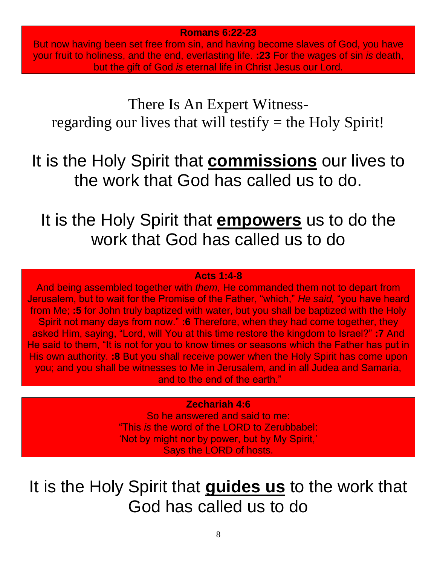**Romans 6:22-23**

But now having been set free from sin, and having become slaves of God, you have your fruit to holiness, and the end, everlasting life. **:23** For the wages of sin *is* death, but the gift of God *is* eternal life in Christ Jesus our Lord.

There Is An Expert Witnessregarding our lives that will testify  $=$  the Holy Spirit!

It is the Holy Spirit that **commissions** our lives to the work that God has called us to do.

It is the Holy Spirit that **empowers** us to do the work that God has called us to do

#### **Acts 1:4-8**

And being assembled together with *them,* He commanded them not to depart from Jerusalem, but to wait for the Promise of the Father, "which," *He said,* "you have heard from Me; **:5** for John truly baptized with water, but you shall be baptized with the Holy Spirit not many days from now." **:6** Therefore, when they had come together, they asked Him, saying, "Lord, will You at this time restore the kingdom to Israel?" **:7** And He said to them, "It is not for you to know times or seasons which the Father has put in His own authority. **:8** But you shall receive power when the Holy Spirit has come upon you; and you shall be witnesses to Me in Jerusalem, and in all Judea and Samaria, and to the end of the earth."

#### **Zechariah 4:6**

So he answered and said to me: "This *is* the word of the LORD to Zerubbabel: 'Not by might nor by power, but by My Spirit,' Says the LORD of hosts.

It is the Holy Spirit that **guides us** to the work that God has called us to do